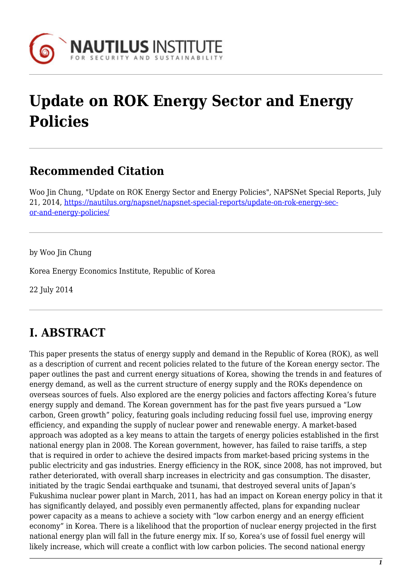

# **Update on ROK Energy Sector and Energy Policies**

## **Recommended Citation**

Woo Jin Chung, "Update on ROK Energy Sector and Energy Policies", NAPSNet Special Reports, July 21, 2014, [https://nautilus.org/napsnet/napsnet-special-reports/update-on-rok-energy-sec](https://nautilus.org/napsnet/napsnet-special-reports/update-on-rok-energy-sector-and-energy-policies/)[or-and-energy-policies/](https://nautilus.org/napsnet/napsnet-special-reports/update-on-rok-energy-sector-and-energy-policies/)

by Woo Jin Chung

Korea Energy Economics Institute, Republic of Korea

22 July 2014

## **I. ABSTRACT**

This paper presents the status of energy supply and demand in the Republic of Korea (ROK), as well as a description of current and recent policies related to the future of the Korean energy sector. The paper outlines the past and current energy situations of Korea, showing the trends in and features of energy demand, as well as the current structure of energy supply and the ROKs dependence on overseas sources of fuels. Also explored are the energy policies and factors affecting Korea's future energy supply and demand. The Korean government has for the past five years pursued a "Low carbon, Green growth" policy, featuring goals including reducing fossil fuel use, improving energy efficiency, and expanding the supply of nuclear power and renewable energy. A market-based approach was adopted as a key means to attain the targets of energy policies established in the first national energy plan in 2008. The Korean government, however, has failed to raise tariffs, a step that is required in order to achieve the desired impacts from market-based pricing systems in the public electricity and gas industries. Energy efficiency in the ROK, since 2008, has not improved, but rather deteriorated, with overall sharp increases in electricity and gas consumption. The disaster, initiated by the tragic Sendai earthquake and tsunami, that destroyed several units of Japan's Fukushima nuclear power plant in March, 2011, has had an impact on Korean energy policy in that it has significantly delayed, and possibly even permanently affected, plans for expanding nuclear power capacity as a means to achieve a society with "low carbon energy and an energy efficient economy" in Korea. There is a likelihood that the proportion of nuclear energy projected in the first national energy plan will fall in the future energy mix. If so, Korea's use of fossil fuel energy will likely increase, which will create a conflict with low carbon policies. The second national energy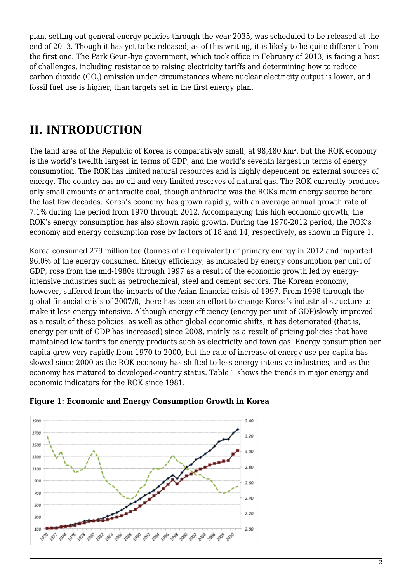plan, setting out general energy policies through the year 2035, was scheduled to be released at the end of 2013. Though it has yet to be released, as of this writing, it is likely to be quite different from the first one. The Park Geun-hye government, which took office in February of 2013, is facing a host of challenges, including resistance to raising electricity tariffs and determining how to reduce carbon dioxide (CO $_{\text{2}}$ ) emission under circumstances where nuclear electricity output is lower, and fossil fuel use is higher, than targets set in the first energy plan.

## **II. INTRODUCTION**

The land area of the Republic of Korea is comparatively small, at 98,480 km², but the ROK economy is the world's twelfth largest in terms of GDP, and the world's seventh largest in terms of energy consumption. The ROK has limited natural resources and is highly dependent on external sources of energy. The country has no oil and very limited reserves of natural gas. The ROK currently produces only small amounts of anthracite coal, though anthracite was the ROKs main energy source before the last few decades. Korea's economy has grown rapidly, with an average annual growth rate of 7.1% during the period from 1970 through 2012. Accompanying this high economic growth, the ROK's energy consumption has also shown rapid growth. During the 1970-2012 period, the ROK's economy and energy consumption rose by factors of 18 and 14, respectively, as shown in Figure 1.

Korea consumed 279 million toe (tonnes of oil equivalent) of primary energy in 2012 and imported 96.0% of the energy consumed. Energy efficiency, as indicated by energy consumption per unit of GDP, rose from the mid-1980s through 1997 as a result of the economic growth led by energyintensive industries such as petrochemical, steel and cement sectors. The Korean economy, however, suffered from the impacts of the Asian financial crisis of 1997. From 1998 through the global financial crisis of 2007/8, there has been an effort to change Korea's industrial structure to make it less energy intensive. Although energy efficiency (energy per unit of GDP)slowly improved as a result of these policies, as well as other global economic shifts, it has deteriorated (that is, energy per unit of GDP has increased) since 2008, mainly as a result of pricing policies that have maintained low tariffs for energy products such as electricity and town gas. Energy consumption per capita grew very rapidly from 1970 to 2000, but the rate of increase of energy use per capita has slowed since 2000 as the ROK economy has shifted to less energy-intensive industries, and as the economy has matured to developed-country status. Table 1 shows the trends in major energy and economic indicators for the ROK since 1981.



### **Figure 1: Economic and Energy Consumption Growth in Korea**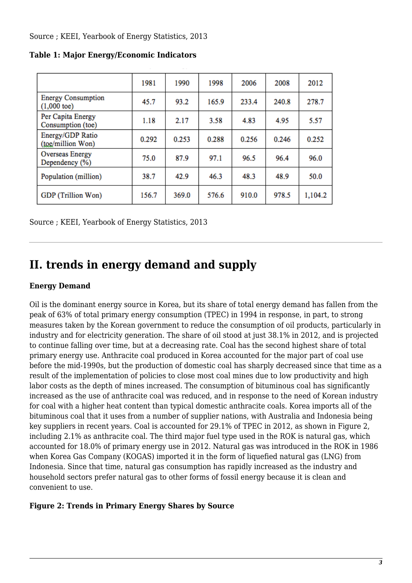Source ; KEEI, Yearbook of Energy Statistics, 2013

|                                                    | 1981  | 1990  | 1998  | 2006  | 2008  | 2012    |
|----------------------------------------------------|-------|-------|-------|-------|-------|---------|
| <b>Energy Consumption</b><br>$(1,000 \text{ toe})$ | 45.7  | 93.2  | 165.9 | 233.4 | 240.8 | 278.7   |
| Per Capita Energy<br>Consumption (toe)             | 1.18  | 2.17  | 3.58  | 4.83  | 4.95  | 5.57    |
| Energy/GDP Ratio<br>(toe/million Won)              | 0.292 | 0.253 | 0.288 | 0.256 | 0.246 | 0.252   |
| Overseas Energy<br>Dependency (%)                  | 75.0  | 87.9  | 97.1  | 96.5  | 96.4  | 96.0    |
| Population (million)                               | 38.7  | 42.9  | 46.3  | 48.3  | 48.9  | 50.0    |
| GDP (Trillion Won)                                 | 156.7 | 369.0 | 576.6 | 910.0 | 978.5 | 1,104.2 |

**Table 1: Major Energy/Economic Indicators**

Source ; KEEI, Yearbook of Energy Statistics, 2013

## **II. trends in energy demand and supply**

### **Energy Demand**

Oil is the dominant energy source in Korea, but its share of total energy demand has fallen from the peak of 63% of total primary energy consumption (TPEC) in 1994 in response, in part, to strong measures taken by the Korean government to reduce the consumption of oil products, particularly in industry and for electricity generation. The share of oil stood at just 38.1% in 2012, and is projected to continue falling over time, but at a decreasing rate. Coal has the second highest share of total primary energy use. Anthracite coal produced in Korea accounted for the major part of coal use before the mid-1990s, but the production of domestic coal has sharply decreased since that time as a result of the implementation of policies to close most coal mines due to low productivity and high labor costs as the depth of mines increased. The consumption of bituminous coal has significantly increased as the use of anthracite coal was reduced, and in response to the need of Korean industry for coal with a higher heat content than typical domestic anthracite coals. Korea imports all of the bituminous coal that it uses from a number of supplier nations, with Australia and Indonesia being key suppliers in recent years. Coal is accounted for 29.1% of TPEC in 2012, as shown in Figure 2, including 2.1% as anthracite coal. The third major fuel type used in the ROK is natural gas, which accounted for 18.0% of primary energy use in 2012. Natural gas was introduced in the ROK in 1986 when Korea Gas Company (KOGAS) imported it in the form of liquefied natural gas (LNG) from Indonesia. Since that time, natural gas consumption has rapidly increased as the industry and household sectors prefer natural gas to other forms of fossil energy because it is clean and convenient to use.

### **Figure 2: Trends in Primary Energy Shares by Source**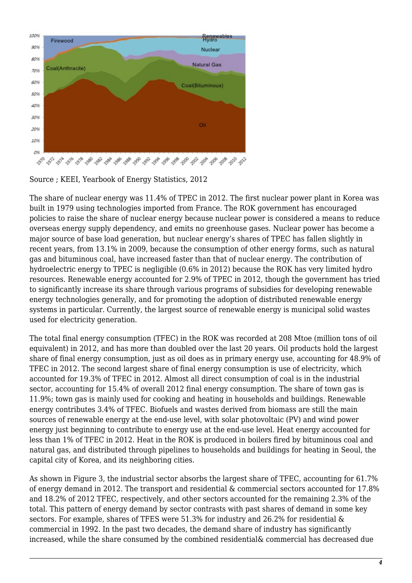

Source ; KEEI, Yearbook of Energy Statistics, 2012

The share of nuclear energy was 11.4% of TPEC in 2012. The first nuclear power plant in Korea was built in 1979 using technologies imported from France. The ROK government has encouraged policies to raise the share of nuclear energy because nuclear power is considered a means to reduce overseas energy supply dependency, and emits no greenhouse gases. Nuclear power has become a major source of base load generation, but nuclear energy's shares of TPEC has fallen slightly in recent years, from 13.1% in 2009, because the consumption of other energy forms, such as natural gas and bituminous coal, have increased faster than that of nuclear energy. The contribution of hydroelectric energy to TPEC is negligible (0.6% in 2012) because the ROK has very limited hydro resources. Renewable energy accounted for 2.9% of TPEC in 2012, though the government has tried to significantly increase its share through various programs of subsidies for developing renewable energy technologies generally, and for promoting the adoption of distributed renewable energy systems in particular. Currently, the largest source of renewable energy is municipal solid wastes used for electricity generation.

The total final energy consumption (TFEC) in the ROK was recorded at 208 Mtoe (million tons of oil equivalent) in 2012, and has more than doubled over the last 20 years. Oil products hold the largest share of final energy consumption, just as oil does as in primary energy use, accounting for 48.9% of TFEC in 2012. The second largest share of final energy consumption is use of electricity, which accounted for 19.3% of TFEC in 2012. Almost all direct consumption of coal is in the industrial sector, accounting for 15.4% of overall 2012 final energy consumption. The share of town gas is 11.9%; town gas is mainly used for cooking and heating in households and buildings. Renewable energy contributes 3.4% of TFEC. Biofuels and wastes derived from biomass are still the main sources of renewable energy at the end-use level, with solar photovoltaic (PV) and wind power energy just beginning to contribute to energy use at the end-use level. Heat energy accounted for less than 1% of TFEC in 2012. Heat in the ROK is produced in boilers fired by bituminous coal and natural gas, and distributed through pipelines to households and buildings for heating in Seoul, the capital city of Korea, and its neighboring cities.

As shown in Figure 3, the industrial sector absorbs the largest share of TFEC, accounting for 61.7% of energy demand in 2012. The transport and residential & commercial sectors accounted for 17.8% and 18.2% of 2012 TFEC, respectively, and other sectors accounted for the remaining 2.3% of the total. This pattern of energy demand by sector contrasts with past shares of demand in some key sectors. For example, shares of TFES were 51.3% for industry and 26.2% for residential & commercial in 1992. In the past two decades, the demand share of industry has significantly increased, while the share consumed by the combined residential& commercial has decreased due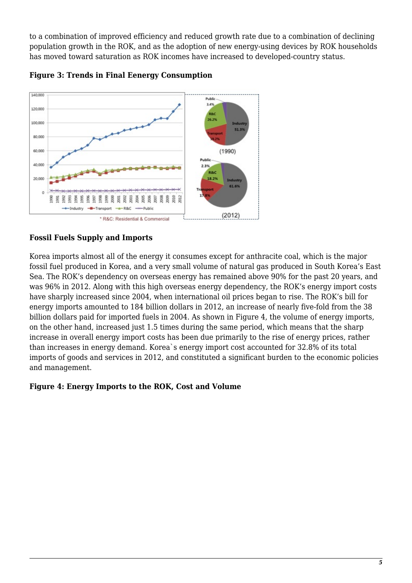to a combination of improved efficiency and reduced growth rate due to a combination of declining population growth in the ROK, and as the adoption of new energy-using devices by ROK households has moved toward saturation as ROK incomes have increased to developed-country status.



**Figure 3: Trends in Final Eenergy Consumption**

## **Fossil Fuels Supply and Imports**

Korea imports almost all of the energy it consumes except for anthracite coal, which is the major fossil fuel produced in Korea, and a very small volume of natural gas produced in South Korea's East Sea. The ROK's dependency on overseas energy has remained above 90% for the past 20 years, and was 96% in 2012. Along with this high overseas energy dependency, the ROK's energy import costs have sharply increased since 2004, when international oil prices began to rise. The ROK's bill for energy imports amounted to 184 billion dollars in 2012, an increase of nearly five-fold from the 38 billion dollars paid for imported fuels in 2004. As shown in Figure 4, the volume of energy imports, on the other hand, increased just 1.5 times during the same period, which means that the sharp increase in overall energy import costs has been due primarily to the rise of energy prices, rather than increases in energy demand. Korea`s energy import cost accounted for 32.8% of its total imports of goods and services in 2012, and constituted a significant burden to the economic policies and management.

### **Figure 4: Energy Imports to the ROK, Cost and Volume**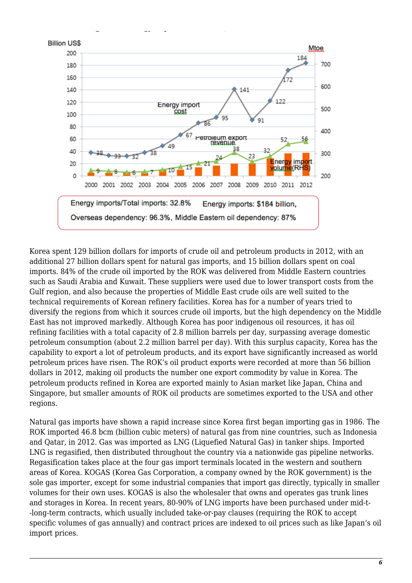

Korea spent 129 billion dollars for imports of crude oil and petroleum products in 2012, with an additional 27 billion dollars spent for natural gas imports, and 15 billion dollars spent on coal imports. 84% of the crude oil imported by the ROK was delivered from Middle Eastern countries such as Saudi Arabia and Kuwait. These suppliers were used due to lower transport costs from the Gulf region, and also because the properties of Middle East crude oils are well suited to the technical requirements of Korean refinery facilities. Korea has for a number of years tried to diversify the regions from which it sources crude oil imports, but the high dependency on the Middle East has not improved markedly. Although Korea has poor indigenous oil resources, it has oil refining facilities with a total capacity of 2.8 million barrels per day, surpassing average domestic petroleum consumption (about 2.2 million barrel per day). With this surplus capacity, Korea has the capability to export a lot of petroleum products, and its export have significantly increased as world petroleum prices have risen. The ROK's oil product exports were recorded at more than 56 billion dollars in 2012, making oil products the number one export commodity by value in Korea. The petroleum products refined in Korea are exported mainly to Asian market like Japan, China and Singapore, but smaller amounts of ROK oil products are sometimes exported to the USA and other regions.

Natural gas imports have shown a rapid increase since Korea first began importing gas in 1986. The ROK imported 46.8 bcm (billion cubic meters) of natural gas from nine countries, such as Indonesia and Qatar, in 2012. Gas was imported as LNG (Liquefied Natural Gas) in tanker ships. Imported LNG is regasified, then distributed throughout the country via a nationwide gas pipeline networks. Regasification takes place at the four gas import terminals located in the western and southern areas of Korea. KOGAS (Korea Gas Corporation, a company owned by the ROK government) is the sole gas importer, except for some industrial companies that import gas directly, typically in smaller volumes for their own uses. KOGAS is also the wholesaler that owns and operates gas trunk lines and storages in Korea. In recent years, 80-90% of LNG imports have been purchased under mid-t- -long-term contracts, which usually included take-or-pay clauses (requiring the ROK to accept specific volumes of gas annually) and contract prices are indexed to oil prices such as like Japan's oil import prices.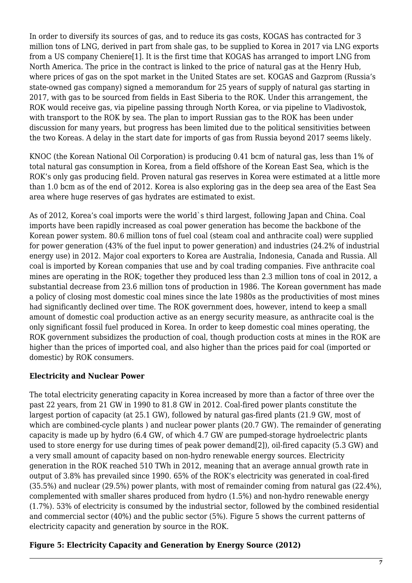In order to diversify its sources of gas, and to reduce its gas costs, KOGAS has contracted for 3 million tons of LNG, derived in part from shale gas, to be supplied to Korea in 2017 via LNG exports from a US company Cheniere[1]. It is the first time that KOGAS has arranged to import LNG from North America. The price in the contract is linked to the price of natural gas at the Henry Hub, where prices of gas on the spot market in the United States are set. KOGAS and Gazprom (Russia's state-owned gas company) signed a memorandum for 25 years of supply of natural gas starting in 2017, with gas to be sourced from fields in East Siberia to the ROK. Under this arrangement, the ROK would receive gas, via pipeline passing through North Korea, or via pipeline to Vladivostok, with transport to the ROK by sea. The plan to import Russian gas to the ROK has been under discussion for many years, but progress has been limited due to the political sensitivities between the two Koreas. A delay in the start date for imports of gas from Russia beyond 2017 seems likely.

KNOC (the Korean National Oil Corporation) is producing 0.41 bcm of natural gas, less than 1% of total natural gas consumption in Korea, from a field offshore of the Korean East Sea, which is the ROK's only gas producing field. Proven natural gas reserves in Korea were estimated at a little more than 1.0 bcm as of the end of 2012. Korea is also exploring gas in the deep sea area of the East Sea area where huge reserves of gas hydrates are estimated to exist.

As of 2012, Korea's coal imports were the world`s third largest, following Japan and China. Coal imports have been rapidly increased as coal power generation has become the backbone of the Korean power system. 80.6 million tons of fuel coal (steam coal and anthracite coal) were supplied for power generation (43% of the fuel input to power generation) and industries (24.2% of industrial energy use) in 2012. Major coal exporters to Korea are Australia, Indonesia, Canada and Russia. All coal is imported by Korean companies that use and by coal trading companies. Five anthracite coal mines are operating in the ROK; together they produced less than 2.3 million tons of coal in 2012, a substantial decrease from 23.6 million tons of production in 1986. The Korean government has made a policy of closing most domestic coal mines since the late 1980s as the productivities of most mines had significantly declined over time. The ROK government does, however, intend to keep a small amount of domestic coal production active as an energy security measure, as anthracite coal is the only significant fossil fuel produced in Korea. In order to keep domestic coal mines operating, the ROK government subsidizes the production of coal, though production costs at mines in the ROK are higher than the prices of imported coal, and also higher than the prices paid for coal (imported or domestic) by ROK consumers.

### **Electricity and Nuclear Power**

The total electricity generating capacity in Korea increased by more than a factor of three over the past 22 years, from 21 GW in 1990 to 81.8 GW in 2012. Coal-fired power plants constitute the largest portion of capacity (at 25.1 GW), followed by natural gas-fired plants (21.9 GW, most of which are combined-cycle plants ) and nuclear power plants (20.7 GW). The remainder of generating capacity is made up by hydro (6.4 GW, of which 4.7 GW are pumped-storage hydroelectric plants used to store energy for use during times of peak power demand[2]), oil-fired capacity (5.3 GW) and a very small amount of capacity based on non-hydro renewable energy sources. Electricity generation in the ROK reached 510 TWh in 2012, meaning that an average annual growth rate in output of 3.8% has prevailed since 1990. 65% of the ROK's electricity was generated in coal-fired (35.5%) and nuclear (29.5%) power plants, with most of remainder coming from natural gas (22.4%), complemented with smaller shares produced from hydro (1.5%) and non-hydro renewable energy (1.7%). 53% of electricity is consumed by the industrial sector, followed by the combined residential and commercial sector (40%) and the public sector (5%). Figure 5 shows the current patterns of electricity capacity and generation by source in the ROK.

## **Figure 5: Electricity Capacity and Generation by Energy Source (2012)**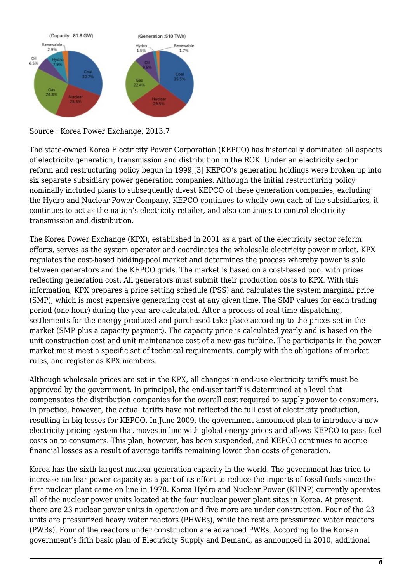

Source : Korea Power Exchange, 2013.7

The state-owned Korea Electricity Power Corporation (KEPCO) has historically dominated all aspects of electricity generation, transmission and distribution in the ROK. Under an electricity sector reform and restructuring policy begun in 1999,[3] KEPCO's generation holdings were broken up into six separate subsidiary power generation companies. Although the initial restructuring policy nominally included plans to subsequently divest KEPCO of these generation companies, excluding the Hydro and Nuclear Power Company, KEPCO continues to wholly own each of the subsidiaries, it continues to act as the nation's electricity retailer, and also continues to control electricity transmission and distribution.

The Korea Power Exchange (KPX), established in 2001 as a part of the electricity sector reform efforts, serves as the system operator and coordinates the wholesale electricity power market. KPX regulates the cost-based bidding-pool market and determines the process whereby power is sold between generators and the KEPCO grids. The market is based on a cost-based pool with prices reflecting generation cost. All generators must submit their production costs to KPX. With this information, KPX prepares a price setting schedule (PSS) and calculates the system marginal price (SMP), which is most expensive generating cost at any given time. The SMP values for each trading period (one hour) during the year are calculated. After a process of real-time dispatching, settlements for the energy produced and purchased take place according to the prices set in the market (SMP plus a capacity payment). The capacity price is calculated yearly and is based on the unit construction cost and unit maintenance cost of a new gas turbine. The participants in the power market must meet a specific set of technical requirements, comply with the obligations of market rules, and register as KPX members.

Although wholesale prices are set in the KPX, all changes in end-use electricity tariffs must be approved by the government. In principal, the end-user tariff is determined at a level that compensates the distribution companies for the overall cost required to supply power to consumers. In practice, however, the actual tariffs have not reflected the full cost of electricity production, resulting in big losses for KEPCO. In June 2009, the government announced plan to introduce a new electricity pricing system that moves in line with global energy prices and allows KEPCO to pass fuel costs on to consumers. This plan, however, has been suspended, and KEPCO continues to accrue financial losses as a result of average tariffs remaining lower than costs of generation.

Korea has the sixth-largest nuclear generation capacity in the world. The government has tried to increase nuclear power capacity as a part of its effort to reduce the imports of fossil fuels since the first nuclear plant came on line in 1978. Korea Hydro and Nuclear Power (KHNP) currently operates all of the nuclear power units located at the four nuclear power plant sites in Korea. At present, there are 23 nuclear power units in operation and five more are under construction. Four of the 23 units are pressurized heavy water reactors (PHWRs), while the rest are pressurized water reactors (PWRs). Four of the reactors under construction are advanced PWRs. According to the Korean government's fifth basic plan of Electricity Supply and Demand, as announced in 2010, additional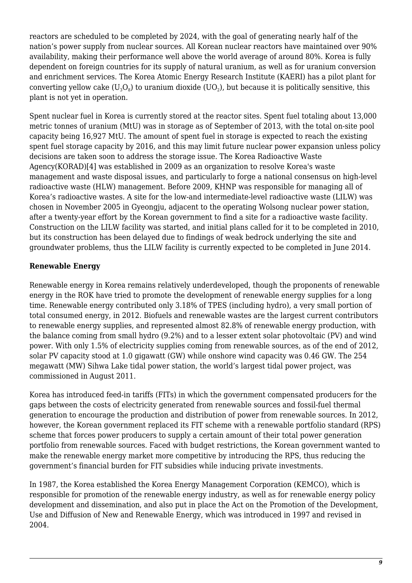reactors are scheduled to be completed by 2024, with the goal of generating nearly half of the nation's power supply from nuclear sources. All Korean nuclear reactors have maintained over 90% availability, making their performance well above the world average of around 80%. Korea is fully dependent on foreign countries for its supply of natural uranium, as well as for uranium conversion and enrichment services. The Korea Atomic Energy Research Institute (KAERI) has a pilot plant for converting yellow cake (U $_{\rm 3} {\rm O}_{\rm 8}$ ) to uranium dioxide (UO $_{\rm 2}$ ), but because it is politically sensitive, this plant is not yet in operation.

Spent nuclear fuel in Korea is currently stored at the reactor sites. Spent fuel totaling about 13,000 metric tonnes of uranium (MtU) was in storage as of September of 2013, with the total on-site pool capacity being 16,927 MtU. The amount of spent fuel in storage is expected to reach the existing spent fuel storage capacity by 2016, and this may limit future nuclear power expansion unless policy decisions are taken soon to address the storage issue. The Korea Radioactive Waste Agency(KORAD)[4] was established in 2009 as an organization to resolve Korea's waste management and waste disposal issues, and particularly to forge a national consensus on high-level radioactive waste (HLW) management. Before 2009, KHNP was responsible for managing all of Korea's radioactive wastes. A site for the low-and intermediate-level radioactive waste (LILW) was chosen in November 2005 in Gyeongju, adjacent to the operating Wolsong nuclear power station, after a twenty-year effort by the Korean government to find a site for a radioactive waste facility. Construction on the LILW facility was started, and initial plans called for it to be completed in 2010, but its construction has been delayed due to findings of weak bedrock underlying the site and groundwater problems, thus the LILW facility is currently expected to be completed in June 2014.

## **Renewable Energy**

Renewable energy in Korea remains relatively underdeveloped, though the proponents of renewable energy in the ROK have tried to promote the development of renewable energy supplies for a long time. Renewable energy contributed only 3.18% of TPES (including hydro), a very small portion of total consumed energy, in 2012. Biofuels and renewable wastes are the largest current contributors to renewable energy supplies, and represented almost 82.8% of renewable energy production, with the balance coming from small hydro (9.2%) and to a lesser extent solar photovoltaic (PV) and wind power. With only 1.5% of electricity supplies coming from renewable sources, as of the end of 2012, solar PV capacity stood at 1.0 gigawatt (GW) while onshore wind capacity was 0.46 GW. The 254 megawatt (MW) Sihwa Lake tidal power station, the world's largest tidal power project, was commissioned in August 2011.

Korea has introduced feed-in tariffs (FITs) in which the government compensated producers for the gaps between the costs of electricity generated from renewable sources and fossil-fuel thermal generation to encourage the production and distribution of power from renewable sources. In 2012, however, the Korean government replaced its FIT scheme with a renewable portfolio standard (RPS) scheme that forces power producers to supply a certain amount of their total power generation portfolio from renewable sources. Faced with budget restrictions, the Korean government wanted to make the renewable energy market more competitive by introducing the RPS, thus reducing the government's financial burden for FIT subsidies while inducing private investments.

In 1987, the Korea established the Korea Energy Management Corporation (KEMCO), which is responsible for promotion of the renewable energy industry, as well as for renewable energy policy development and dissemination, and also put in place the Act on the Promotion of the Development, Use and Diffusion of New and Renewable Energy, which was introduced in 1997 and revised in 2004.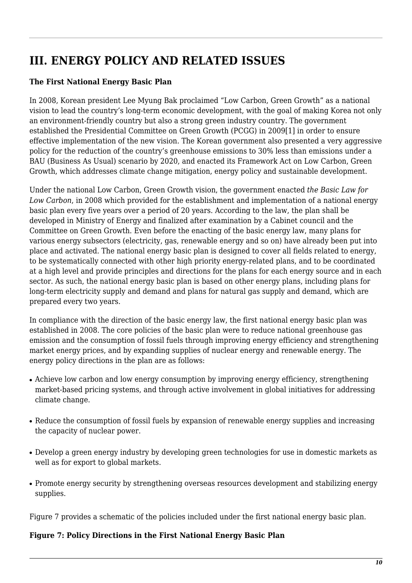## **III. ENERGY POLICY AND RELATED ISSUES**

## **The First National Energy Basic Plan**

In 2008, Korean president Lee Myung Bak proclaimed "Low Carbon, Green Growth" as a national vision to lead the country's long-term economic development, with the goal of making Korea not only an environment-friendly country but also a strong green industry country. The government established the Presidential Committee on Green Growth (PCGG) in 2009[1] in order to ensure effective implementation of the new vision. The Korean government also presented a very aggressive policy for the reduction of the country's greenhouse emissions to 30% less than emissions under a BAU (Business As Usual) scenario by 2020, and enacted its Framework Act on Low Carbon, Green Growth, which addresses climate change mitigation, energy policy and sustainable development.

Under the national Low Carbon, Green Growth vision, the government enacted *the Basic Law for Low Carbon*, in 2008 which provided for the establishment and implementation of a national energy basic plan every five years over a period of 20 years. According to the law, the plan shall be developed in Ministry of Energy and finalized after examination by a Cabinet council and the Committee on Green Growth. Even before the enacting of the basic energy law, many plans for various energy subsectors (electricity, gas, renewable energy and so on) have already been put into place and activated. The national energy basic plan is designed to cover all fields related to energy, to be systematically connected with other high priority energy-related plans, and to be coordinated at a high level and provide principles and directions for the plans for each energy source and in each sector. As such, the national energy basic plan is based on other energy plans, including plans for long-term electricity supply and demand and plans for natural gas supply and demand, which are prepared every two years.

In compliance with the direction of the basic energy law, the first national energy basic plan was established in 2008. The core policies of the basic plan were to reduce national greenhouse gas emission and the consumption of fossil fuels through improving energy efficiency and strengthening market energy prices, and by expanding supplies of nuclear energy and renewable energy. The energy policy directions in the plan are as follows:

- Achieve low carbon and low energy consumption by improving energy efficiency, strengthening market-based pricing systems, and through active involvement in global initiatives for addressing climate change.
- Reduce the consumption of fossil fuels by expansion of renewable energy supplies and increasing the capacity of nuclear power.
- Develop a green energy industry by developing green technologies for use in domestic markets as well as for export to global markets.
- Promote energy security by strengthening overseas resources development and stabilizing energy supplies.

Figure 7 provides a schematic of the policies included under the first national energy basic plan.

## **Figure 7: Policy Directions in the First National Energy Basic Plan**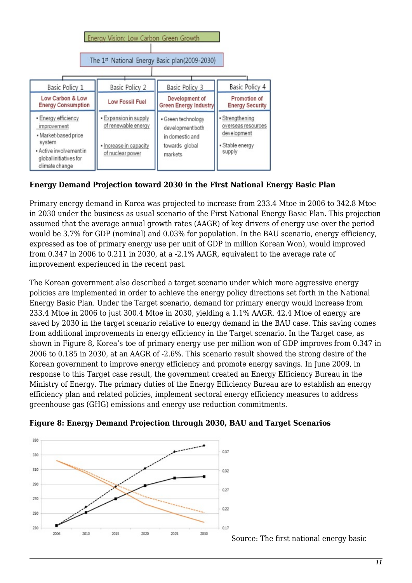

## **Energy Demand Projection toward 2030 in the First National Energy Basic Plan**

Primary energy demand in Korea was projected to increase from 233.4 Mtoe in 2006 to 342.8 Mtoe in 2030 under the business as usual scenario of the First National Energy Basic Plan. This projection assumed that the average annual growth rates (AAGR) of key drivers of energy use over the period would be 3.7% for GDP (nominal) and 0.03% for population. In the BAU scenario, energy efficiency, expressed as toe of primary energy use per unit of GDP in million Korean Won), would improved from 0.347 in 2006 to 0.211 in 2030, at a -2.1% AAGR, equivalent to the average rate of improvement experienced in the recent past.

The Korean government also described a target scenario under which more aggressive energy policies are implemented in order to achieve the energy policy directions set forth in the National Energy Basic Plan. Under the Target scenario, demand for primary energy would increase from 233.4 Mtoe in 2006 to just 300.4 Mtoe in 2030, yielding a 1.1% AAGR. 42.4 Mtoe of energy are saved by 2030 in the target scenario relative to energy demand in the BAU case. This saving comes from additional improvements in energy efficiency in the Target scenario. In the Target case, as shown in Figure 8, Korea's toe of primary energy use per million won of GDP improves from 0.347 in 2006 to 0.185 in 2030, at an AAGR of -2.6%. This scenario result showed the strong desire of the Korean government to improve energy efficiency and promote energy savings. In June 2009, in response to this Target case result, the government created an Energy Efficiency Bureau in the Ministry of Energy. The primary duties of the Energy Efficiency Bureau are to establish an energy efficiency plan and related policies, implement sectoral energy efficiency measures to address greenhouse gas (GHG) emissions and energy use reduction commitments.



**Figure 8: Energy Demand Projection through 2030, BAU and Target Scenarios**

Source: The first national energy basic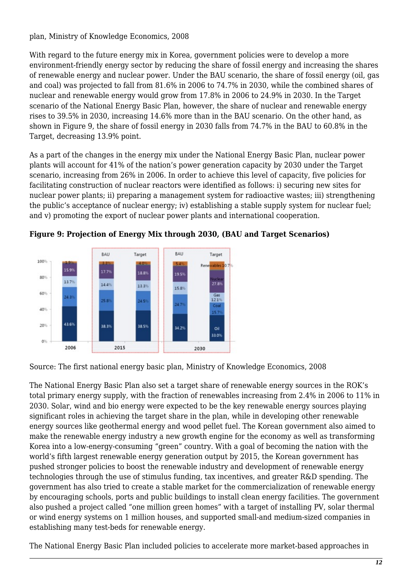plan, Ministry of Knowledge Economics, 2008

With regard to the future energy mix in Korea, government policies were to develop a more environment-friendly energy sector by reducing the share of fossil energy and increasing the shares of renewable energy and nuclear power. Under the BAU scenario, the share of fossil energy (oil, gas and coal) was projected to fall from 81.6% in 2006 to 74.7% in 2030, while the combined shares of nuclear and renewable energy would grow from 17.8% in 2006 to 24.9% in 2030. In the Target scenario of the National Energy Basic Plan, however, the share of nuclear and renewable energy rises to 39.5% in 2030, increasing 14.6% more than in the BAU scenario. On the other hand, as shown in Figure 9, the share of fossil energy in 2030 falls from 74.7% in the BAU to 60.8% in the Target, decreasing 13.9% point.

As a part of the changes in the energy mix under the National Energy Basic Plan, nuclear power plants will account for 41% of the nation's power generation capacity by 2030 under the Target scenario, increasing from 26% in 2006. In order to achieve this level of capacity, five policies for facilitating construction of nuclear reactors were identified as follows: i) securing new sites for nuclear power plants; ii) preparing a management system for radioactive wastes; iii) strengthening the public's acceptance of nuclear energy; iv) establishing a stable supply system for nuclear fuel; and v) promoting the export of nuclear power plants and international cooperation.





Source: The first national energy basic plan, Ministry of Knowledge Economics, 2008

The National Energy Basic Plan also set a target share of renewable energy sources in the ROK's total primary energy supply, with the fraction of renewables increasing from 2.4% in 2006 to 11% in 2030. Solar, wind and bio energy were expected to be the key renewable energy sources playing significant roles in achieving the target share in the plan, while in developing other renewable energy sources like geothermal energy and wood pellet fuel. The Korean government also aimed to make the renewable energy industry a new growth engine for the economy as well as transforming Korea into a low-energy-consuming "green" country. With a goal of becoming the nation with the world's fifth largest renewable energy generation output by 2015, the Korean government has pushed stronger policies to boost the renewable industry and development of renewable energy technologies through the use of stimulus funding, tax incentives, and greater R&D spending. The government has also tried to create a stable market for the commercialization of renewable energy by encouraging schools, ports and public buildings to install clean energy facilities. The government also pushed a project called "one million green homes" with a target of installing PV, solar thermal or wind energy systems on 1 million houses, and supported small-and medium-sized companies in establishing many test-beds for renewable energy.

The National Energy Basic Plan included policies to accelerate more market-based approaches in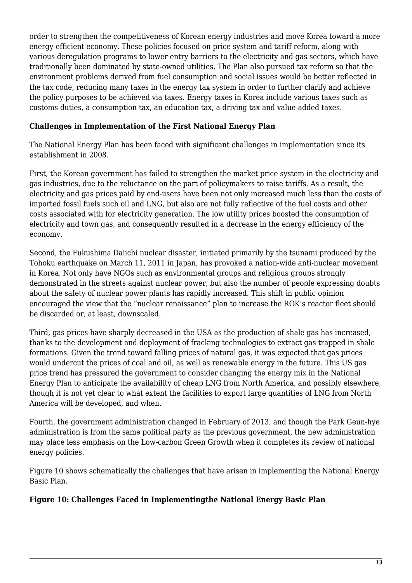order to strengthen the competitiveness of Korean energy industries and move Korea toward a more energy-efficient economy. These policies focused on price system and tariff reform, along with various deregulation programs to lower entry barriers to the electricity and gas sectors, which have traditionally been dominated by state-owned utilities. The Plan also pursued tax reform so that the environment problems derived from fuel consumption and social issues would be better reflected in the tax code, reducing many taxes in the energy tax system in order to further clarify and achieve the policy purposes to be achieved via taxes. Energy taxes in Korea include various taxes such as customs duties, a consumption tax, an education tax, a driving tax and value-added taxes.

### **Challenges in Implementation of the First National Energy Plan**

The National Energy Plan has been faced with significant challenges in implementation since its establishment in 2008.

First, the Korean government has failed to strengthen the market price system in the electricity and gas industries, due to the reluctance on the part of policymakers to raise tariffs. As a result, the electricity and gas prices paid by end-users have been not only increased much less than the costs of imported fossil fuels such oil and LNG, but also are not fully reflective of the fuel costs and other costs associated with for electricity generation. The low utility prices boosted the consumption of electricity and town gas, and consequently resulted in a decrease in the energy efficiency of the economy.

Second, the Fukushima Daiichi nuclear disaster, initiated primarily by the tsunami produced by the Tohoku earthquake on March 11, 2011 in Japan, has provoked a nation-wide anti-nuclear movement in Korea. Not only have NGOs such as environmental groups and religious groups strongly demonstrated in the streets against nuclear power, but also the number of people expressing doubts about the safety of nuclear power plants has rapidly increased. This shift in public opinion encouraged the view that the "nuclear renaissance" plan to increase the ROK's reactor fleet should be discarded or, at least, downscaled.

Third, gas prices have sharply decreased in the USA as the production of shale gas has increased, thanks to the development and deployment of fracking technologies to extract gas trapped in shale formations. Given the trend toward falling prices of natural gas, it was expected that gas prices would undercut the prices of coal and oil, as well as renewable energy in the future. This US gas price trend has pressured the government to consider changing the energy mix in the National Energy Plan to anticipate the availability of cheap LNG from North America, and possibly elsewhere, though it is not yet clear to what extent the facilities to export large quantities of LNG from North America will be developed, and when.

Fourth, the government administration changed in February of 2013, and though the Park Geun-hye administration is from the same political party as the previous government, the new administration may place less emphasis on the Low-carbon Green Growth when it completes its review of national energy policies.

Figure 10 shows schematically the challenges that have arisen in implementing the National Energy Basic Plan.

#### **Figure 10: Challenges Faced in Implementingthe National Energy Basic Plan**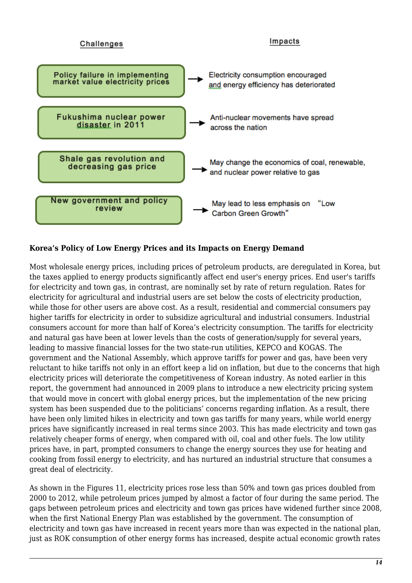

### **Korea's Policy of Low Energy Prices and its Impacts on Energy Demand**

Most wholesale energy prices, including prices of petroleum products, are deregulated in Korea, but the taxes applied to energy products significantly affect end user's energy prices. End user's tariffs for electricity and town gas, in contrast, are nominally set by rate of return regulation. Rates for electricity for agricultural and industrial users are set below the costs of electricity production, while those for other users are above cost. As a result, residential and commercial consumers pay higher tariffs for electricity in order to subsidize agricultural and industrial consumers. Industrial consumers account for more than half of Korea's electricity consumption. The tariffs for electricity and natural gas have been at lower levels than the costs of generation/supply for several years, leading to massive financial losses for the two state-run utilities, KEPCO and KOGAS. The government and the National Assembly, which approve tariffs for power and gas, have been very reluctant to hike tariffs not only in an effort keep a lid on inflation, but due to the concerns that high electricity prices will deteriorate the competitiveness of Korean industry. As noted earlier in this report, the government had announced in 2009 plans to introduce a new electricity pricing system that would move in concert with global energy prices, but the implementation of the new pricing system has been suspended due to the politicians' concerns regarding inflation. As a result, there have been only limited hikes in electricity and town gas tariffs for many years, while world energy prices have significantly increased in real terms since 2003. This has made electricity and town gas relatively cheaper forms of energy, when compared with oil, coal and other fuels. The low utility prices have, in part, prompted consumers to change the energy sources they use for heating and cooking from fossil energy to electricity, and has nurtured an industrial structure that consumes a great deal of electricity.

As shown in the Figures 11, electricity prices rose less than 50% and town gas prices doubled from 2000 to 2012, while petroleum prices jumped by almost a factor of four during the same period. The gaps between petroleum prices and electricity and town gas prices have widened further since 2008, when the first National Energy Plan was established by the government. The consumption of electricity and town gas have increased in recent years more than was expected in the national plan, just as ROK consumption of other energy forms has increased, despite actual economic growth rates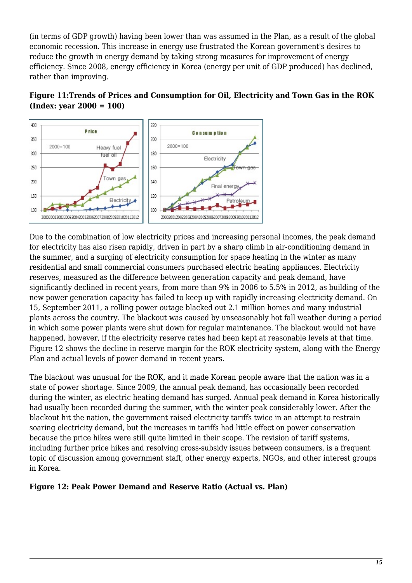(in terms of GDP growth) having been lower than was assumed in the Plan, as a result of the global economic recession. This increase in energy use frustrated the Korean government's desires to reduce the growth in energy demand by taking strong measures for improvement of energy efficiency. Since 2008, energy efficiency in Korea (energy per unit of GDP produced) has declined, rather than improving.





Due to the combination of low electricity prices and increasing personal incomes, the peak demand for electricity has also risen rapidly, driven in part by a sharp climb in air-conditioning demand in the summer, and a surging of electricity consumption for space heating in the winter as many residential and small commercial consumers purchased electric heating appliances. Electricity reserves, measured as the difference between generation capacity and peak demand, have significantly declined in recent years, from more than 9% in 2006 to 5.5% in 2012, as building of the new power generation capacity has failed to keep up with rapidly increasing electricity demand. On 15, September 2011, a rolling power outage blacked out 2.1 million homes and many industrial plants across the country. The blackout was caused by unseasonably hot fall weather during a period in which some power plants were shut down for regular maintenance. The blackout would not have happened, however, if the electricity reserve rates had been kept at reasonable levels at that time. Figure 12 shows the decline in reserve margin for the ROK electricity system, along with the Energy Plan and actual levels of power demand in recent years.

The blackout was unusual for the ROK, and it made Korean people aware that the nation was in a state of power shortage. Since 2009, the annual peak demand, has occasionally been recorded during the winter, as electric heating demand has surged. Annual peak demand in Korea historically had usually been recorded during the summer, with the winter peak considerably lower. After the blackout hit the nation, the government raised electricity tariffs twice in an attempt to restrain soaring electricity demand, but the increases in tariffs had little effect on power conservation because the price hikes were still quite limited in their scope. The revision of tariff systems, including further price hikes and resolving cross-subsidy issues between consumers, is a frequent topic of discussion among government staff, other energy experts, NGOs, and other interest groups in Korea.

### **Figure 12: Peak Power Demand and Reserve Ratio (Actual vs. Plan)**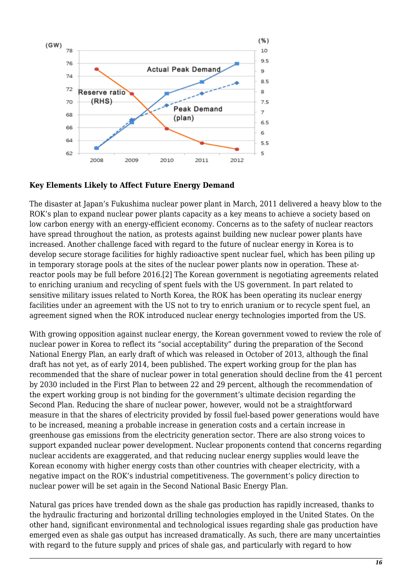

### **Key Elements Likely to Affect Future Energy Demand**

The disaster at Japan's Fukushima nuclear power plant in March, 2011 delivered a heavy blow to the ROK's plan to expand nuclear power plants capacity as a key means to achieve a society based on low carbon energy with an energy-efficient economy. Concerns as to the safety of nuclear reactors have spread throughout the nation, as protests against building new nuclear power plants have increased. Another challenge faced with regard to the future of nuclear energy in Korea is to develop secure storage facilities for highly radioactive spent nuclear fuel, which has been piling up in temporary storage pools at the sites of the nuclear power plants now in operation. These atreactor pools may be full before 2016.[2] The Korean government is negotiating agreements related to enriching uranium and recycling of spent fuels with the US government. In part related to sensitive military issues related to North Korea, the ROK has been operating its nuclear energy facilities under an agreement with the US not to try to enrich uranium or to recycle spent fuel, an agreement signed when the ROK introduced nuclear energy technologies imported from the US.

With growing opposition against nuclear energy, the Korean government vowed to review the role of nuclear power in Korea to reflect its "social acceptability" during the preparation of the Second National Energy Plan, an early draft of which was released in October of 2013, although the final draft has not yet, as of early 2014, been published. The expert working group for the plan has recommended that the share of nuclear power in total generation should decline from the 41 percent by 2030 included in the First Plan to between 22 and 29 percent, although the recommendation of the expert working group is not binding for the government's ultimate decision regarding the Second Plan. Reducing the share of nuclear power, however, would not be a straightforward measure in that the shares of electricity provided by fossil fuel-based power generations would have to be increased, meaning a probable increase in generation costs and a certain increase in greenhouse gas emissions from the electricity generation sector. There are also strong voices to support expanded nuclear power development. Nuclear proponents contend that concerns regarding nuclear accidents are exaggerated, and that reducing nuclear energy supplies would leave the Korean economy with higher energy costs than other countries with cheaper electricity, with a negative impact on the ROK's industrial competitiveness. The government's policy direction to nuclear power will be set again in the Second National Basic Energy Plan.

Natural gas prices have trended down as the shale gas production has rapidly increased, thanks to the hydraulic fracturing and horizontal drilling technologies employed in the United States. On the other hand, significant environmental and technological issues regarding shale gas production have emerged even as shale gas output has increased dramatically. As such, there are many uncertainties with regard to the future supply and prices of shale gas, and particularly with regard to how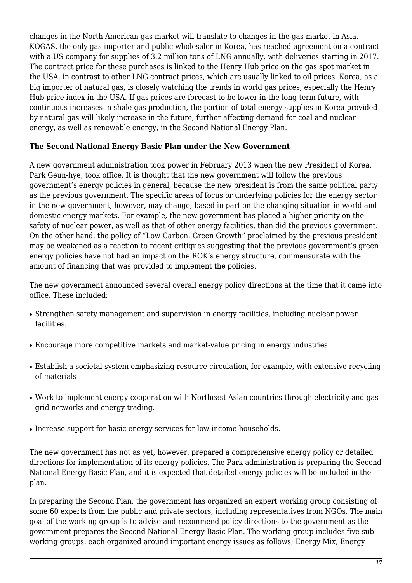changes in the North American gas market will translate to changes in the gas market in Asia. KOGAS, the only gas importer and public wholesaler in Korea, has reached agreement on a contract with a US company for supplies of 3.2 million tons of LNG annually, with deliveries starting in 2017. The contract price for these purchases is linked to the Henry Hub price on the gas spot market in the USA, in contrast to other LNG contract prices, which are usually linked to oil prices. Korea, as a big importer of natural gas, is closely watching the trends in world gas prices, especially the Henry Hub price index in the USA. If gas prices are forecast to be lower in the long-term future, with continuous increases in shale gas production, the portion of total energy supplies in Korea provided by natural gas will likely increase in the future, further affecting demand for coal and nuclear energy, as well as renewable energy, in the Second National Energy Plan.

#### **The Second National Energy Basic Plan under the New Government**

A new government administration took power in February 2013 when the new President of Korea, Park Geun-hye, took office. It is thought that the new government will follow the previous government's energy policies in general, because the new president is from the same political party as the previous government. The specific areas of focus or underlying policies for the energy sector in the new government, however, may change, based in part on the changing situation in world and domestic energy markets. For example, the new government has placed a higher priority on the safety of nuclear power, as well as that of other energy facilities, than did the previous government. On the other hand, the policy of "Low Carbon, Green Growth" proclaimed by the previous president may be weakened as a reaction to recent critiques suggesting that the previous government's green energy policies have not had an impact on the ROK's energy structure, commensurate with the amount of financing that was provided to implement the policies.

The new government announced several overall energy policy directions at the time that it came into office. These included:

- Strengthen safety management and supervision in energy facilities, including nuclear power facilities.
- Encourage more competitive markets and market-value pricing in energy industries.
- Establish a societal system emphasizing resource circulation, for example, with extensive recycling of materials
- Work to implement energy cooperation with Northeast Asian countries through electricity and gas grid networks and energy trading.
- Increase support for basic energy services for low income-households.

The new government has not as yet, however, prepared a comprehensive energy policy or detailed directions for implementation of its energy policies. The Park administration is preparing the Second National Energy Basic Plan, and it is expected that detailed energy policies will be included in the plan.

In preparing the Second Plan, the government has organized an expert working group consisting of some 60 experts from the public and private sectors, including representatives from NGOs. The main goal of the working group is to advise and recommend policy directions to the government as the government prepares the Second National Energy Basic Plan. The working group includes five subworking groups, each organized around important energy issues as follows; Energy Mix, Energy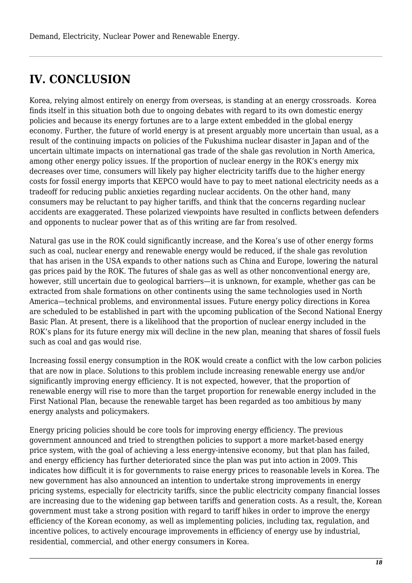## **IV. CONCLUSION**

Korea, relying almost entirely on energy from overseas, is standing at an energy crossroads. Korea finds itself in this situation both due to ongoing debates with regard to its own domestic energy policies and because its energy fortunes are to a large extent embedded in the global energy economy. Further, the future of world energy is at present arguably more uncertain than usual, as a result of the continuing impacts on policies of the Fukushima nuclear disaster in Japan and of the uncertain ultimate impacts on international gas trade of the shale gas revolution in North America, among other energy policy issues. If the proportion of nuclear energy in the ROK's energy mix decreases over time, consumers will likely pay higher electricity tariffs due to the higher energy costs for fossil energy imports that KEPCO would have to pay to meet national electricity needs as a tradeoff for reducing public anxieties regarding nuclear accidents. On the other hand, many consumers may be reluctant to pay higher tariffs, and think that the concerns regarding nuclear accidents are exaggerated. These polarized viewpoints have resulted in conflicts between defenders and opponents to nuclear power that as of this writing are far from resolved.

Natural gas use in the ROK could significantly increase, and the Korea's use of other energy forms such as coal, nuclear energy and renewable energy would be reduced, if the shale gas revolution that has arisen in the USA expands to other nations such as China and Europe, lowering the natural gas prices paid by the ROK. The futures of shale gas as well as other nonconventional energy are, however, still uncertain due to geological barriers—it is unknown, for example, whether gas can be extracted from shale formations on other continents using the same technologies used in North America—technical problems, and environmental issues. Future energy policy directions in Korea are scheduled to be established in part with the upcoming publication of the Second National Energy Basic Plan. At present, there is a likelihood that the proportion of nuclear energy included in the ROK's plans for its future energy mix will decline in the new plan, meaning that shares of fossil fuels such as coal and gas would rise.

Increasing fossil energy consumption in the ROK would create a conflict with the low carbon policies that are now in place. Solutions to this problem include increasing renewable energy use and/or significantly improving energy efficiency. It is not expected, however, that the proportion of renewable energy will rise to more than the target proportion for renewable energy included in the First National Plan, because the renewable target has been regarded as too ambitious by many energy analysts and policymakers.

Energy pricing policies should be core tools for improving energy efficiency. The previous government announced and tried to strengthen policies to support a more market-based energy price system, with the goal of achieving a less energy-intensive economy, but that plan has failed, and energy efficiency has further deteriorated since the plan was put into action in 2009. This indicates how difficult it is for governments to raise energy prices to reasonable levels in Korea. The new government has also announced an intention to undertake strong improvements in energy pricing systems, especially for electricity tariffs, since the public electricity company financial losses are increasing due to the widening gap between tariffs and generation costs. As a result, the, Korean government must take a strong position with regard to tariff hikes in order to improve the energy efficiency of the Korean economy, as well as implementing policies, including tax, regulation, and incentive polices, to actively encourage improvements in efficiency of energy use by industrial, residential, commercial, and other energy consumers in Korea.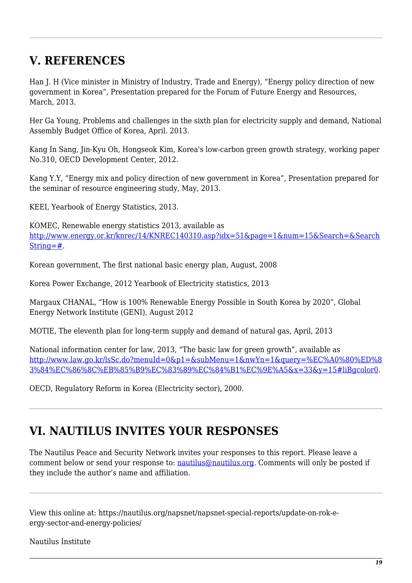## **V. REFERENCES**

Han J. H (Vice minister in Ministry of Industry, Trade and Energy), "Energy policy direction of new government in Korea", Presentation prepared for the Forum of Future Energy and Resources, March, 2013.

Her Ga Young, Problems and challenges in the sixth plan for electricity supply and demand, National Assembly Budget Office of Korea, April. 2013.

Kang In Sang, Jin-Kyu Oh, Hongseok Kim, Korea's low-carbon green growth strategy, working paper No.310, OECD Development Center, 2012.

Kang Y.Y, "Energy mix and policy direction of new government in Korea", Presentation prepared for the seminar of resource engineering study, May, 2013.

KEEI, Yearbook of Energy Statistics, 2013.

KOMEC, Renewable energy statistics 2013, available as [http://www.energy.or.kr/knrec/14/KNREC140310.asp?idx=51&page=1&num=15&Search=&Search](http://www.energy.or.kr/knrec/14/KNREC140310.asp?idx=51&page=1&num=15&Search=&SearchString=#)  $String=\#$ .

Korean government, The first national basic energy plan, August, 2008

Korea Power Exchange, 2012 Yearbook of Electricity statistics, 2013

Margaux CHANAL, "How is 100% Renewable Energy Possible in South Korea by 2020", Global Energy Network Institute (GENI), August 2012

MOTIE, The eleventh plan for long-term supply and demand of natural gas, April, 2013

National information center for law, 2013, "The basic law for green growth", available as [http://www.law.go.kr/lsSc.do?menuId=0&p1=&subMenu=1&nwYn=1&query=%EC%A0%80%ED%8](http://www.law.go.kr/lsSc.do?menuId=0&p1=&subMenu=1&nwYn=1&query=저탄소녹색성장&x=33&y=15#liBgcolor0) [3%84%EC%86%8C%EB%85%B9%EC%83%89%EC%84%B1%EC%9E%A5&x=33&y=15#liBgcolor0.](http://www.law.go.kr/lsSc.do?menuId=0&p1=&subMenu=1&nwYn=1&query=저탄소녹색성장&x=33&y=15#liBgcolor0)

OECD, Regulatory Reform in Korea (Electricity sector), 2000.

## **VI. NAUTILUS INVITES YOUR RESPONSES**

The Nautilus Peace and Security Network invites your responses to this report. Please leave a comment below or send your response to: [nautilus@nautilus.org](mailto: nautilus@nautilus.org). Comments will only be posted if they include the author's name and affiliation.

View this online at: https://nautilus.org/napsnet/napsnet-special-reports/update-on-rok-eergy-sector-and-energy-policies/

Nautilus Institute